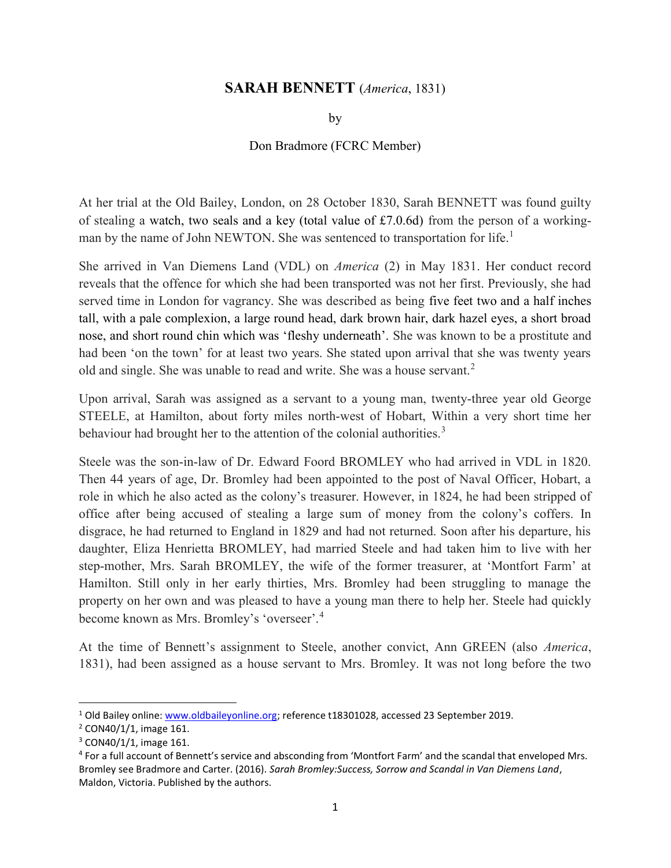## SARAH BENNETT (America, 1831)

by

## Don Bradmore (FCRC Member)

At her trial at the Old Bailey, London, on 28 October 1830, Sarah BENNETT was found guilty of stealing a watch, two seals and a key (total value of £7.0.6d) from the person of a workingman by the name of John NEWTON. She was sentenced to transportation for life.<sup>1</sup>

She arrived in Van Diemens Land (VDL) on America (2) in May 1831. Her conduct record reveals that the offence for which she had been transported was not her first. Previously, she had served time in London for vagrancy. She was described as being five feet two and a half inches tall, with a pale complexion, a large round head, dark brown hair, dark hazel eyes, a short broad nose, and short round chin which was 'fleshy underneath'. She was known to be a prostitute and had been 'on the town' for at least two years. She stated upon arrival that she was twenty years old and single. She was unable to read and write. She was a house servant.<sup>2</sup>

Upon arrival, Sarah was assigned as a servant to a young man, twenty-three year old George STEELE, at Hamilton, about forty miles north-west of Hobart, Within a very short time her behaviour had brought her to the attention of the colonial authorities.<sup>3</sup>

Steele was the son-in-law of Dr. Edward Foord BROMLEY who had arrived in VDL in 1820. Then 44 years of age, Dr. Bromley had been appointed to the post of Naval Officer, Hobart, a role in which he also acted as the colony's treasurer. However, in 1824, he had been stripped of office after being accused of stealing a large sum of money from the colony's coffers. In disgrace, he had returned to England in 1829 and had not returned. Soon after his departure, his daughter, Eliza Henrietta BROMLEY, had married Steele and had taken him to live with her step-mother, Mrs. Sarah BROMLEY, the wife of the former treasurer, at 'Montfort Farm' at Hamilton. Still only in her early thirties, Mrs. Bromley had been struggling to manage the property on her own and was pleased to have a young man there to help her. Steele had quickly become known as Mrs. Bromley's 'overseer'.<sup>4</sup>

At the time of Bennett's assignment to Steele, another convict, Ann GREEN (also America, 1831), had been assigned as a house servant to Mrs. Bromley. It was not long before the two

<sup>&</sup>lt;sup>1</sup> Old Bailey online: www.oldbaileyonline.org; reference t18301028, accessed 23 September 2019.

<sup>&</sup>lt;sup>2</sup> CON40/1/1, image 161.

<sup>&</sup>lt;sup>3</sup> CON40/1/1, image 161.

<sup>&</sup>lt;sup>4</sup> For a full account of Bennett's service and absconding from 'Montfort Farm' and the scandal that enveloped Mrs. Bromley see Bradmore and Carter. (2016). Sarah Bromley:Success, Sorrow and Scandal in Van Diemens Land, Maldon, Victoria. Published by the authors.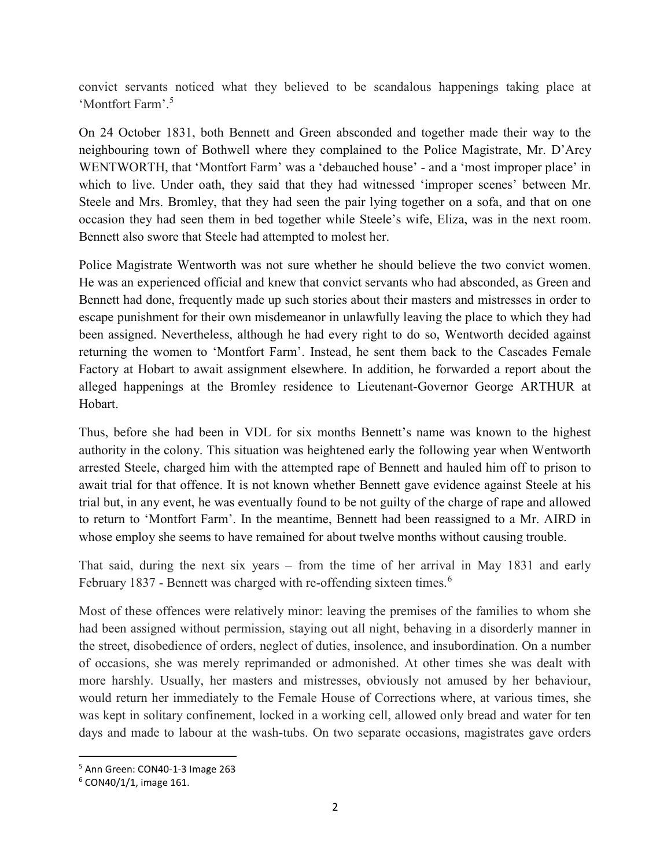convict servants noticed what they believed to be scandalous happenings taking place at 'Montfort Farm'.<sup>5</sup>

On 24 October 1831, both Bennett and Green absconded and together made their way to the neighbouring town of Bothwell where they complained to the Police Magistrate, Mr. D'Arcy WENTWORTH, that 'Montfort Farm' was a 'debauched house' - and a 'most improper place' in which to live. Under oath, they said that they had witnessed 'improper scenes' between Mr. Steele and Mrs. Bromley, that they had seen the pair lying together on a sofa, and that on one occasion they had seen them in bed together while Steele's wife, Eliza, was in the next room. Bennett also swore that Steele had attempted to molest her.

Police Magistrate Wentworth was not sure whether he should believe the two convict women. He was an experienced official and knew that convict servants who had absconded, as Green and Bennett had done, frequently made up such stories about their masters and mistresses in order to escape punishment for their own misdemeanor in unlawfully leaving the place to which they had been assigned. Nevertheless, although he had every right to do so, Wentworth decided against returning the women to 'Montfort Farm'. Instead, he sent them back to the Cascades Female Factory at Hobart to await assignment elsewhere. In addition, he forwarded a report about the alleged happenings at the Bromley residence to Lieutenant-Governor George ARTHUR at Hobart.

Thus, before she had been in VDL for six months Bennett's name was known to the highest authority in the colony. This situation was heightened early the following year when Wentworth arrested Steele, charged him with the attempted rape of Bennett and hauled him off to prison to await trial for that offence. It is not known whether Bennett gave evidence against Steele at his trial but, in any event, he was eventually found to be not guilty of the charge of rape and allowed to return to 'Montfort Farm'. In the meantime, Bennett had been reassigned to a Mr. AIRD in whose employ she seems to have remained for about twelve months without causing trouble.

That said, during the next six years – from the time of her arrival in May 1831 and early February 1837 - Bennett was charged with re-offending sixteen times.<sup>6</sup>

Most of these offences were relatively minor: leaving the premises of the families to whom she had been assigned without permission, staying out all night, behaving in a disorderly manner in the street, disobedience of orders, neglect of duties, insolence, and insubordination. On a number of occasions, she was merely reprimanded or admonished. At other times she was dealt with more harshly. Usually, her masters and mistresses, obviously not amused by her behaviour, would return her immediately to the Female House of Corrections where, at various times, she was kept in solitary confinement, locked in a working cell, allowed only bread and water for ten days and made to labour at the wash-tubs. On two separate occasions, magistrates gave orders

 $\overline{a}$ 

<sup>5</sup> Ann Green: CON40-1-3 Image 263

<sup>6</sup> CON40/1/1, image 161.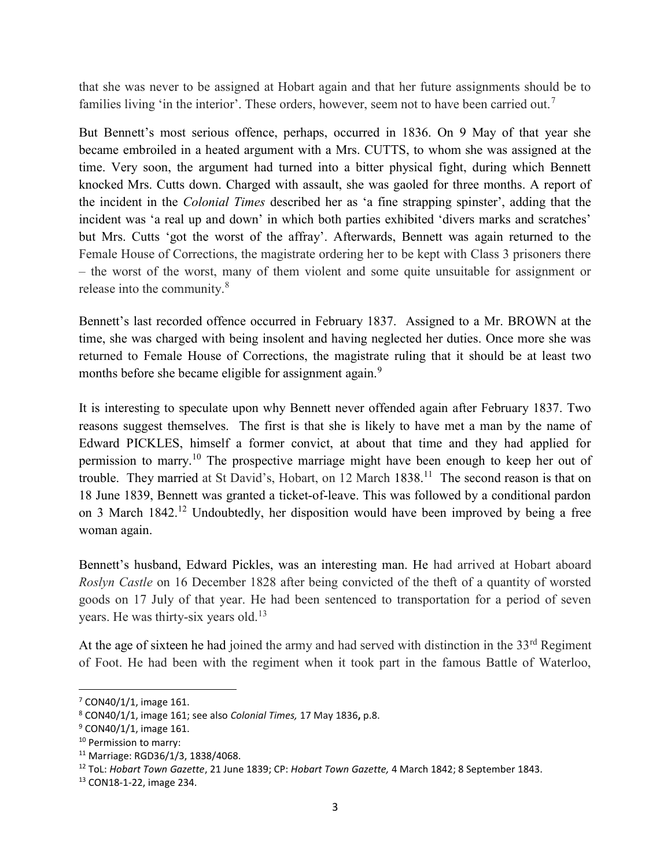that she was never to be assigned at Hobart again and that her future assignments should be to families living 'in the interior'. These orders, however, seem not to have been carried out.<sup>7</sup>

But Bennett's most serious offence, perhaps, occurred in 1836. On 9 May of that year she became embroiled in a heated argument with a Mrs. CUTTS, to whom she was assigned at the time. Very soon, the argument had turned into a bitter physical fight, during which Bennett knocked Mrs. Cutts down. Charged with assault, she was gaoled for three months. A report of the incident in the Colonial Times described her as 'a fine strapping spinster', adding that the incident was 'a real up and down' in which both parties exhibited 'divers marks and scratches' but Mrs. Cutts 'got the worst of the affray'. Afterwards, Bennett was again returned to the Female House of Corrections, the magistrate ordering her to be kept with Class 3 prisoners there – the worst of the worst, many of them violent and some quite unsuitable for assignment or release into the community.<sup>8</sup>

Bennett's last recorded offence occurred in February 1837. Assigned to a Mr. BROWN at the time, she was charged with being insolent and having neglected her duties. Once more she was returned to Female House of Corrections, the magistrate ruling that it should be at least two months before she became eligible for assignment again.<sup>9</sup>

It is interesting to speculate upon why Bennett never offended again after February 1837. Two reasons suggest themselves. The first is that she is likely to have met a man by the name of Edward PICKLES, himself a former convict, at about that time and they had applied for permission to marry.<sup>10</sup> The prospective marriage might have been enough to keep her out of trouble. They married at St David's, Hobart, on 12 March 1838.<sup>11</sup> The second reason is that on 18 June 1839, Bennett was granted a ticket-of-leave. This was followed by a conditional pardon on 3 March 1842.<sup>12</sup> Undoubtedly, her disposition would have been improved by being a free woman again.

Bennett's husband, Edward Pickles, was an interesting man. He had arrived at Hobart aboard Roslyn Castle on 16 December 1828 after being convicted of the theft of a quantity of worsted goods on 17 July of that year. He had been sentenced to transportation for a period of seven years. He was thirty-six years old.<sup>13</sup>

At the age of sixteen he had joined the army and had served with distinction in the  $33<sup>rd</sup>$  Regiment of Foot. He had been with the regiment when it took part in the famous Battle of Waterloo,

 $\overline{a}$ 

<sup>7</sup> CON40/1/1, image 161.

 $8$  CON40/1/1, image 161; see also Colonial Times, 17 May 1836, p.8.

<sup>&</sup>lt;sup>9</sup> CON40/1/1, image 161.

<sup>10</sup> Permission to marry:

<sup>11</sup> Marriage: RGD36/1/3, 1838/4068.

<sup>&</sup>lt;sup>12</sup> ToL: Hobart Town Gazette, 21 June 1839; CP: Hobart Town Gazette, 4 March 1842; 8 September 1843.

<sup>13</sup> CON18-1-22, image 234.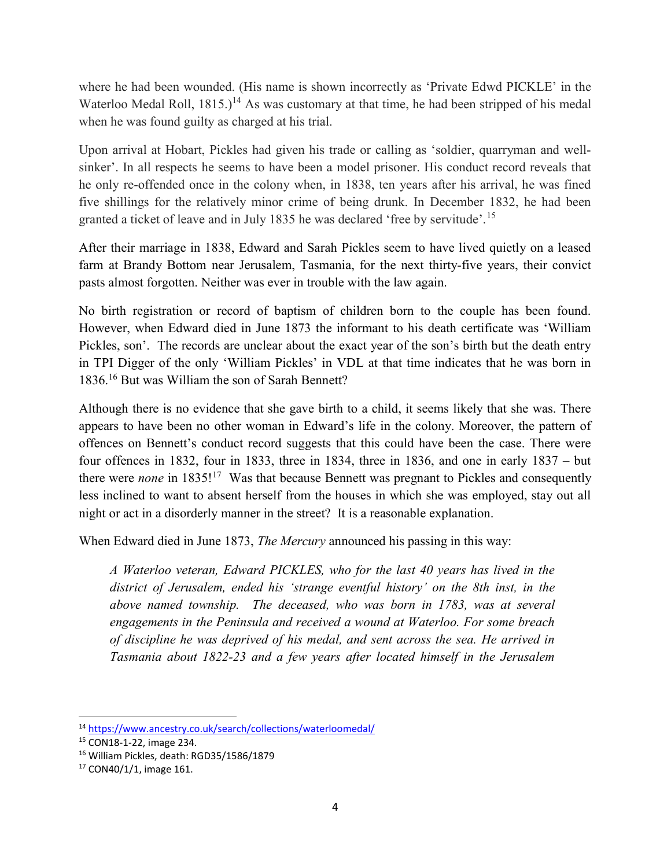where he had been wounded. (His name is shown incorrectly as 'Private Edwd PICKLE' in the Waterloo Medal Roll,  $1815.$ <sup>14</sup> As was customary at that time, he had been stripped of his medal when he was found guilty as charged at his trial.

Upon arrival at Hobart, Pickles had given his trade or calling as 'soldier, quarryman and wellsinker'. In all respects he seems to have been a model prisoner. His conduct record reveals that he only re-offended once in the colony when, in 1838, ten years after his arrival, he was fined five shillings for the relatively minor crime of being drunk. In December 1832, he had been granted a ticket of leave and in July 1835 he was declared 'free by servitude'.<sup>15</sup>

After their marriage in 1838, Edward and Sarah Pickles seem to have lived quietly on a leased farm at Brandy Bottom near Jerusalem, Tasmania, for the next thirty-five years, their convict pasts almost forgotten. Neither was ever in trouble with the law again.

No birth registration or record of baptism of children born to the couple has been found. However, when Edward died in June 1873 the informant to his death certificate was 'William Pickles, son'. The records are unclear about the exact year of the son's birth but the death entry in TPI Digger of the only 'William Pickles' in VDL at that time indicates that he was born in 1836.<sup>16</sup> But was William the son of Sarah Bennett?

Although there is no evidence that she gave birth to a child, it seems likely that she was. There appears to have been no other woman in Edward's life in the colony. Moreover, the pattern of offences on Bennett's conduct record suggests that this could have been the case. There were four offences in 1832, four in 1833, three in 1834, three in 1836, and one in early 1837 – but there were *none* in  $1835!^{17}$  Was that because Bennett was pregnant to Pickles and consequently less inclined to want to absent herself from the houses in which she was employed, stay out all night or act in a disorderly manner in the street? It is a reasonable explanation.

When Edward died in June 1873, *The Mercury* announced his passing in this way:

A Waterloo veteran, Edward PICKLES, who for the last 40 years has lived in the district of Jerusalem, ended his 'strange eventful history' on the 8th inst, in the above named township. The deceased, who was born in 1783, was at several engagements in the Peninsula and received a wound at Waterloo. For some breach of discipline he was deprived of his medal, and sent across the sea. He arrived in Tasmania about 1822-23 and a few years after located himself in the Jerusalem

 $\overline{a}$ 

<sup>14</sup> https://www.ancestry.co.uk/search/collections/waterloomedal/

<sup>15</sup> CON18-1-22, image 234.

<sup>16</sup> William Pickles, death: RGD35/1586/1879

<sup>17</sup> CON40/1/1, image 161.